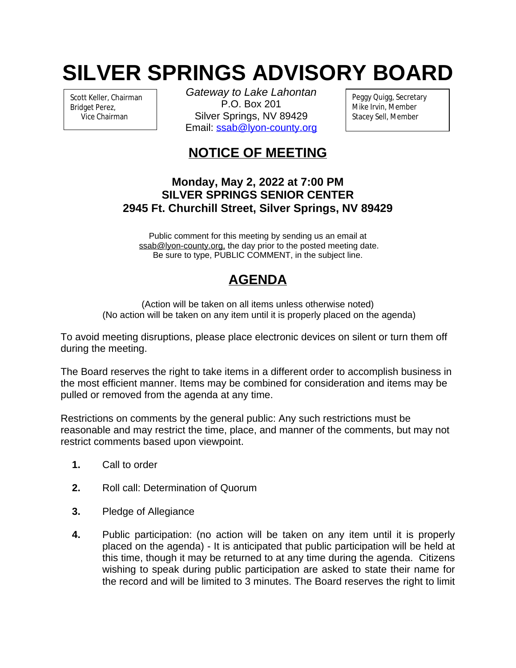## **SILVER SPRINGS ADVISORY BOARD**

Scott Keller, Chairman Bridget Perez, Vice Chairman

*Gateway to Lake Lahontan* P.O. Box 201 Silver Springs, NV 89429 Email: [ssab@lyon-county.org](mailto:ssab@lyon-county.org)

Peggy Quigg, Secretary Mike Irvin, Member Stacey Sell, Member

## **NOTICE OF MEETING**

## **Monday, May 2, 2022 at 7:00 PM SILVER SPRINGS SENIOR CENTER 2945 Ft. Churchill Street, Silver Springs, NV 89429**

Public comment for this meeting by sending us an email at ssab@lyon-county.org, the day prior to the posted meeting date. Be sure to type, PUBLIC COMMENT, in the subject line.

## **AGENDA**

(Action will be taken on all items unless otherwise noted) (No action will be taken on any item until it is properly placed on the agenda)

To avoid meeting disruptions, please place electronic devices on silent or turn them off during the meeting.

The Board reserves the right to take items in a different order to accomplish business in the most efficient manner. Items may be combined for consideration and items may be pulled or removed from the agenda at any time.

Restrictions on comments by the general public: Any such restrictions must be reasonable and may restrict the time, place, and manner of the comments, but may not restrict comments based upon viewpoint.

- **1.** Call to order
- **2.** Roll call: Determination of Quorum
- **3.** Pledge of Allegiance
- **4.** Public participation: (no action will be taken on any item until it is properly placed on the agenda) - It is anticipated that public participation will be held at this time, though it may be returned to at any time during the agenda. Citizens wishing to speak during public participation are asked to state their name for the record and will be limited to 3 minutes. The Board reserves the right to limit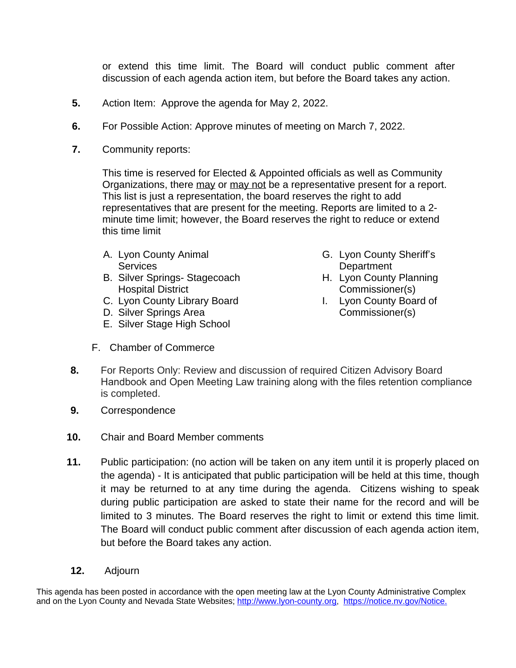or extend this time limit. The Board will conduct public comment after discussion of each agenda action item, but before the Board takes any action.

- **5.** Action Item: Approve the agenda for May 2, 2022.
- **6.** For Possible Action: Approve minutes of meeting on March 7, 2022.
- **7.** Community reports:

This time is reserved for Elected & Appointed officials as well as Community Organizations, there may or may not be a representative present for a report. This list is just a representation, the board reserves the right to add representatives that are present for the meeting. Reports are limited to a 2 minute time limit; however, the Board reserves the right to reduce or extend this time limit

- A. Lyon County Animal **Services**
- B. Silver Springs- Stagecoach Hospital District
- C. Lyon County Library Board
- D. Silver Springs Area
- E. Silver Stage High School
- F. Chamber of Commerce
- G. Lyon County Sheriff's **Department**
- H. Lyon County Planning Commissioner(s)
- I. Lyon County Board of Commissioner(s)
- **8.** For Reports Only: Review and discussion of required Citizen Advisory Board Handbook and Open Meeting Law training along with the files retention compliance is completed.
- **9.** Correspondence
- **10.** Chair and Board Member comments
- **11.** Public participation: (no action will be taken on any item until it is properly placed on the agenda) - It is anticipated that public participation will be held at this time, though it may be returned to at any time during the agenda. Citizens wishing to speak during public participation are asked to state their name for the record and will be limited to 3 minutes. The Board reserves the right to limit or extend this time limit. The Board will conduct public comment after discussion of each agenda action item, but before the Board takes any action.
- **12.** Adjourn

This agenda has been posted in accordance with the open meeting law at the Lyon County Administrative Complex and on the Lyon County and Nevada State Websites; [http://www.lyon-county.org,](about:blank) [https://notice.nv.gov/Notice.](about:blank)